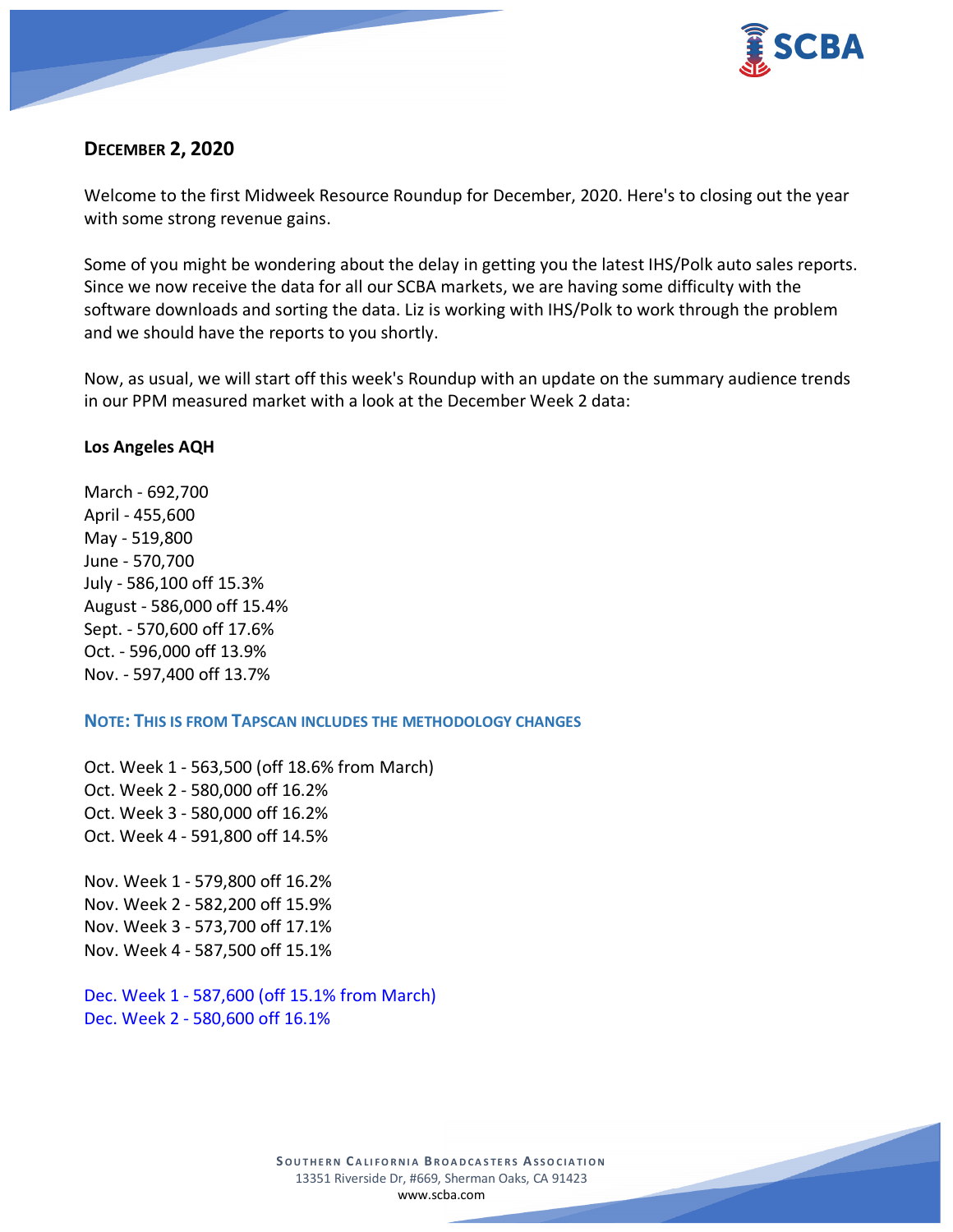

# **DECEMBER 2, 2020**

Welcome to the first Midweek Resource Roundup for December, 2020. Here's to closing out the year with some strong revenue gains.

Some of you might be wondering about the delay in getting you the latest IHS/Polk auto sales reports. Since we now receive the data for all our SCBA markets, we are having some difficulty with the software downloads and sorting the data. Liz is working with IHS/Polk to work through the problem and we should have the reports to you shortly.

Now, as usual, we will start off this week's Roundup with an update on the summary audience trends in our PPM measured market with a look at the December Week 2 data:

### **Los Angeles AQH**

March - 692,700 April - 455,600 May - 519,800 June - 570,700 July - 586,100 off 15.3% August - 586,000 off 15.4% Sept. - 570,600 off 17.6% Oct. - 596,000 off 13.9% Nov. - 597,400 off 13.7%

**NOTE: THIS IS FROM TAPSCAN INCLUDES THE METHODOLOGY CHANGES** 

Oct. Week 1 - 563,500 (off 18.6% from March) Oct. Week 2 - 580,000 off 16.2% Oct. Week 3 - 580,000 off 16.2% Oct. Week 4 - 591,800 off 14.5%

Nov. Week 1 - 579,800 off 16.2% Nov. Week 2 - 582,200 off 15.9% Nov. Week 3 - 573,700 off 17.1% Nov. Week 4 - 587,500 off 15.1%

Dec. Week 1 - 587,600 (off 15.1% from March) Dec. Week 2 - 580,600 off 16.1%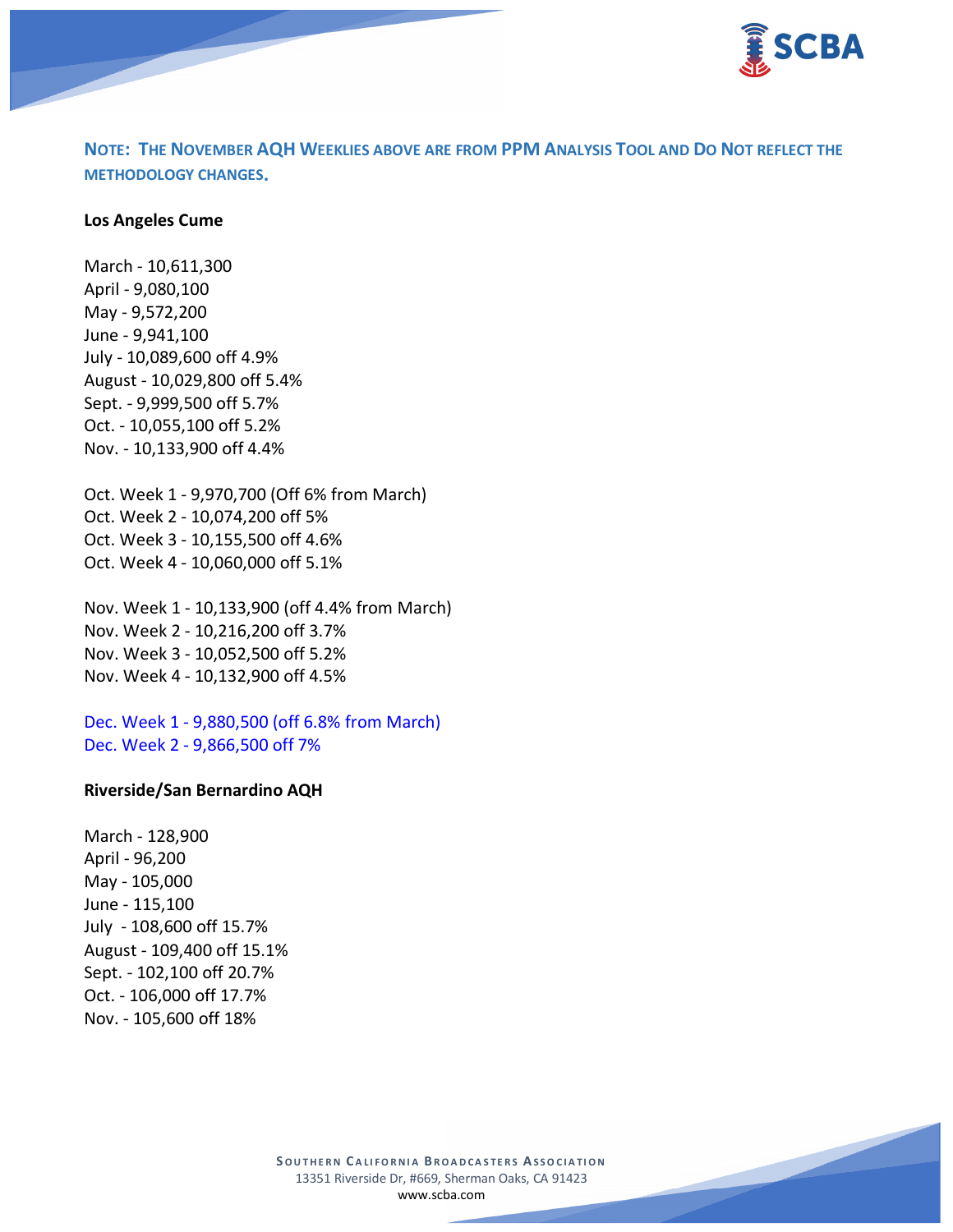

**NOTE: THE NOVEMBER AQH WEEKLIES ABOVE ARE FROM PPM ANALYSIS TOOL AND DO NOT REFLECT THE METHODOLOGY CHANGES.**

#### **Los Angeles Cume**

March - 10,611,300 April - 9,080,100 May - 9,572,200 June - 9,941,100 July - 10,089,600 off 4.9% August - 10,029,800 off 5.4% Sept. - 9,999,500 off 5.7% Oct. - 10,055,100 off 5.2% Nov. - 10,133,900 off 4.4%

Oct. Week 1 - 9,970,700 (Off 6% from March) Oct. Week 2 - 10,074,200 off 5% Oct. Week 3 - 10,155,500 off 4.6% Oct. Week 4 - 10,060,000 off 5.1%

Nov. Week 1 - 10,133,900 (off 4.4% from March) Nov. Week 2 - 10,216,200 off 3.7% Nov. Week 3 - 10,052,500 off 5.2% Nov. Week 4 - 10,132,900 off 4.5%

Dec. Week 1 - 9,880,500 (off 6.8% from March) Dec. Week 2 - 9,866,500 off 7%

#### **Riverside/San Bernardino AQH**

March - 128,900 April - 96,200 May - 105,000 June - 115,100 July - 108,600 off 15.7% August - 109,400 off 15.1% Sept. - 102,100 off 20.7% Oct. - 106,000 off 17.7% Nov. - 105,600 off 18%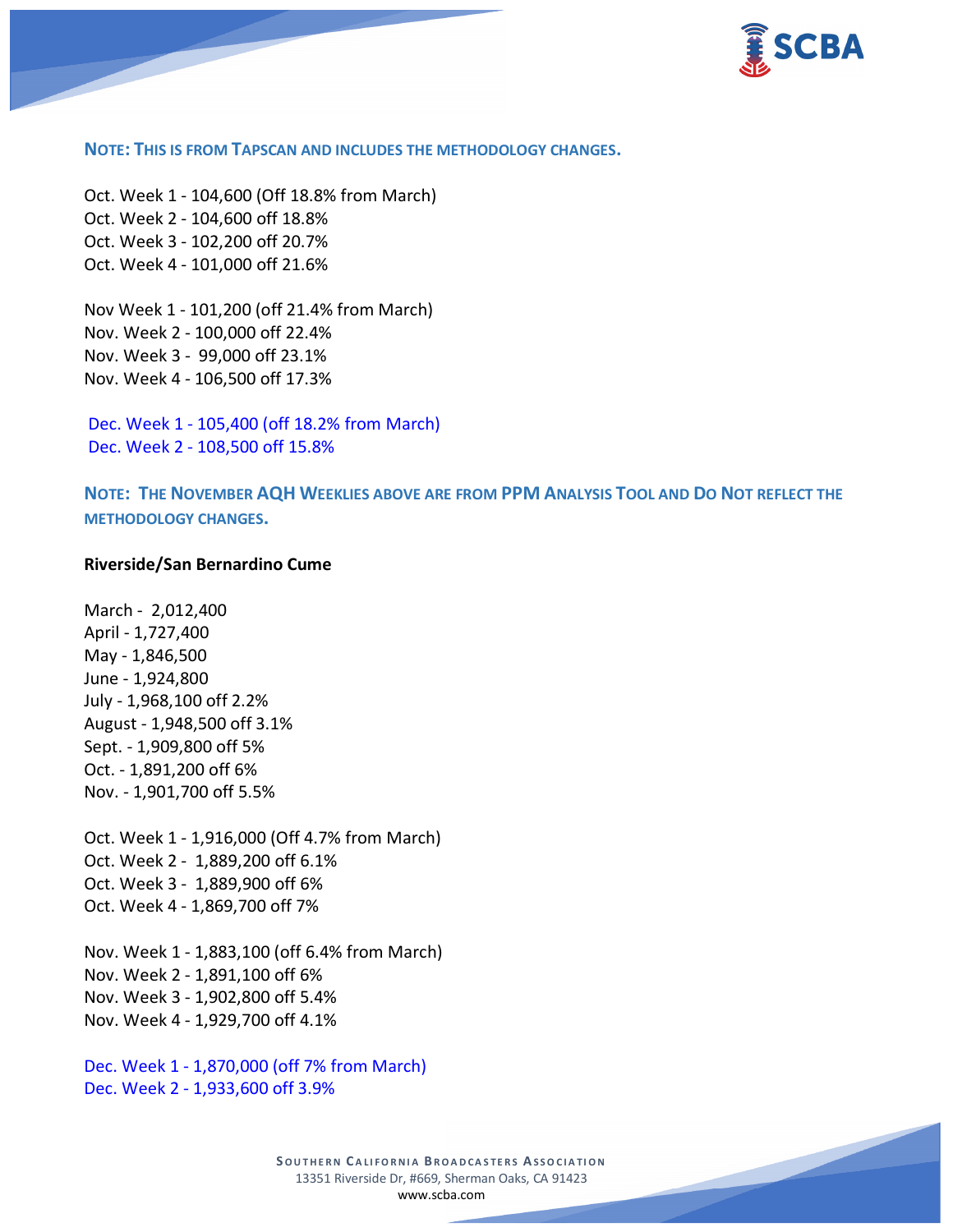

#### **NOTE: THIS IS FROM TAPSCAN AND INCLUDES THE METHODOLOGY CHANGES.**

Oct. Week 1 - 104,600 (Off 18.8% from March) Oct. Week 2 - 104,600 off 18.8% Oct. Week 3 - 102,200 off 20.7% Oct. Week 4 - 101,000 off 21.6%

Nov Week 1 - 101,200 (off 21.4% from March) Nov. Week 2 - 100,000 off 22.4% Nov. Week 3 - 99,000 off 23.1% Nov. Week 4 - 106,500 off 17.3%

Dec. Week 1 - 105,400 (off 18.2% from March) Dec. Week 2 - 108,500 off 15.8%

**NOTE: THE NOVEMBER AQH WEEKLIES ABOVE ARE FROM PPM ANALYSIS TOOL AND DO NOT REFLECT THE METHODOLOGY CHANGES.**

### **Riverside/San Bernardino Cume**

March - 2,012,400 April - 1,727,400 May - 1,846,500 June - 1,924,800 July - 1,968,100 off 2.2% August - 1,948,500 off 3.1% Sept. - 1,909,800 off 5% Oct. - 1,891,200 off 6% Nov. - 1,901,700 off 5.5%

Oct. Week 1 - 1,916,000 (Off 4.7% from March) Oct. Week 2 - 1,889,200 off 6.1% Oct. Week 3 - 1,889,900 off 6% Oct. Week 4 - 1,869,700 off 7%

Nov. Week 1 - 1,883,100 (off 6.4% from March) Nov. Week 2 - 1,891,100 off 6% Nov. Week 3 - 1,902,800 off 5.4% Nov. Week 4 - 1,929,700 off 4.1%

Dec. Week 1 - 1,870,000 (off 7% from March) Dec. Week 2 - 1,933,600 off 3.9%

> **S OUTHERN C ALIFORNIA B ROADCASTERS ASSOCIATION** 13351 Riverside Dr, #669, Sherman Oaks, CA 91423 [www.scba.com](http://www.scba.com/)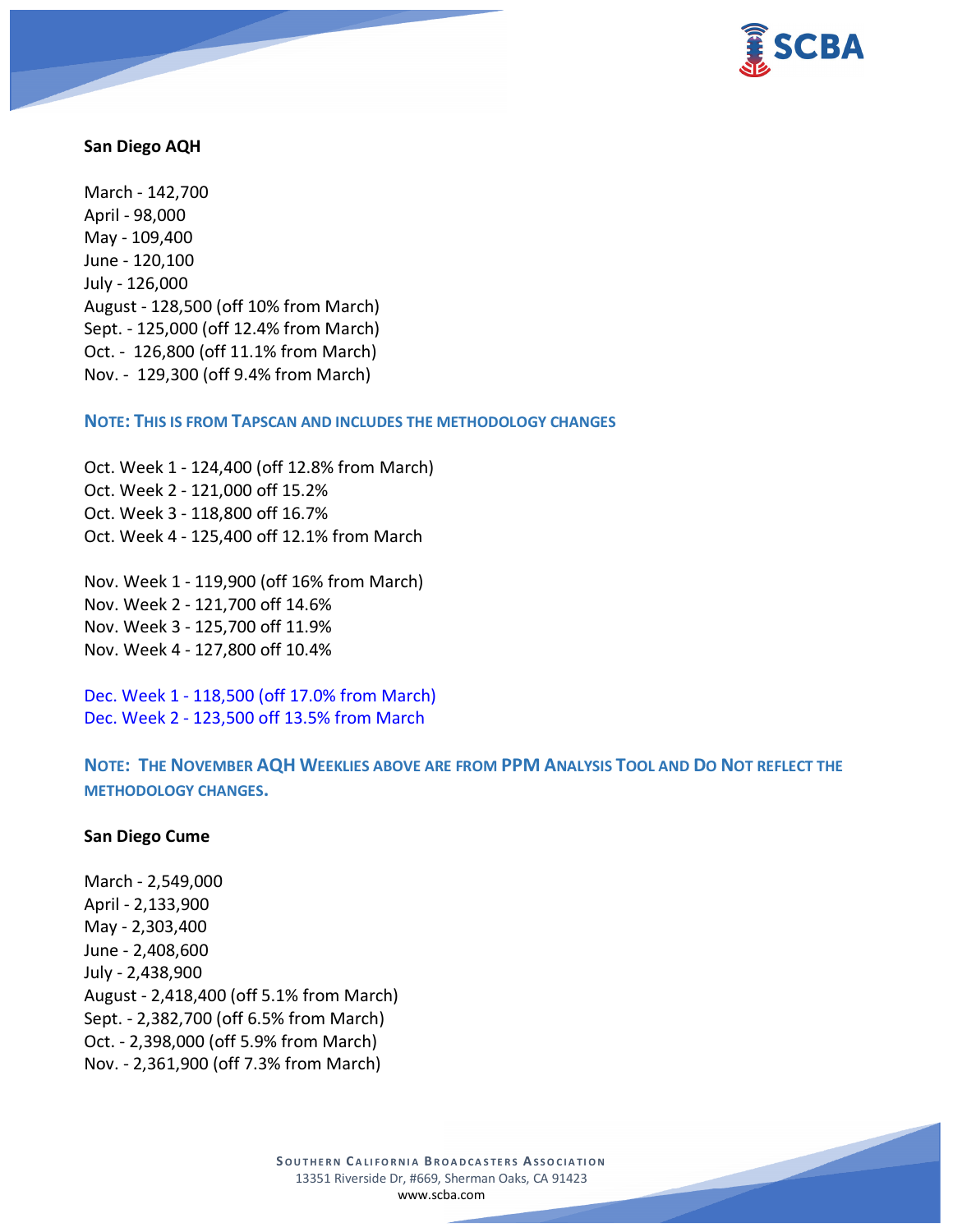

### **San Diego AQH**

March - 142,700 April - 98,000 May - 109,400 June - 120,100 July - 126,000 August - 128,500 (off 10% from March) Sept. - 125,000 (off 12.4% from March) Oct. - 126,800 (off 11.1% from March) Nov. - 129,300 (off 9.4% from March)

**NOTE: THIS IS FROM TAPSCAN AND INCLUDES THE METHODOLOGY CHANGES** 

Oct. Week 1 - 124,400 (off 12.8% from March) Oct. Week 2 - 121,000 off 15.2% Oct. Week 3 - 118,800 off 16.7% Oct. Week 4 - 125,400 off 12.1% from March

Nov. Week 1 - 119,900 (off 16% from March) Nov. Week 2 - 121,700 off 14.6% Nov. Week 3 - 125,700 off 11.9% Nov. Week 4 - 127,800 off 10.4%

Dec. Week 1 - 118,500 (off 17.0% from March) Dec. Week 2 - 123,500 off 13.5% from March

**NOTE: THE NOVEMBER AQH WEEKLIES ABOVE ARE FROM PPM ANALYSIS TOOL AND DO NOT REFLECT THE METHODOLOGY CHANGES.**

### **San Diego Cume**

March - 2,549,000 April - 2,133,900 May - 2,303,400 June - 2,408,600 July - 2,438,900 August - 2,418,400 (off 5.1% from March) Sept. - 2,382,700 (off 6.5% from March) Oct. - 2,398,000 (off 5.9% from March) Nov. - 2,361,900 (off 7.3% from March)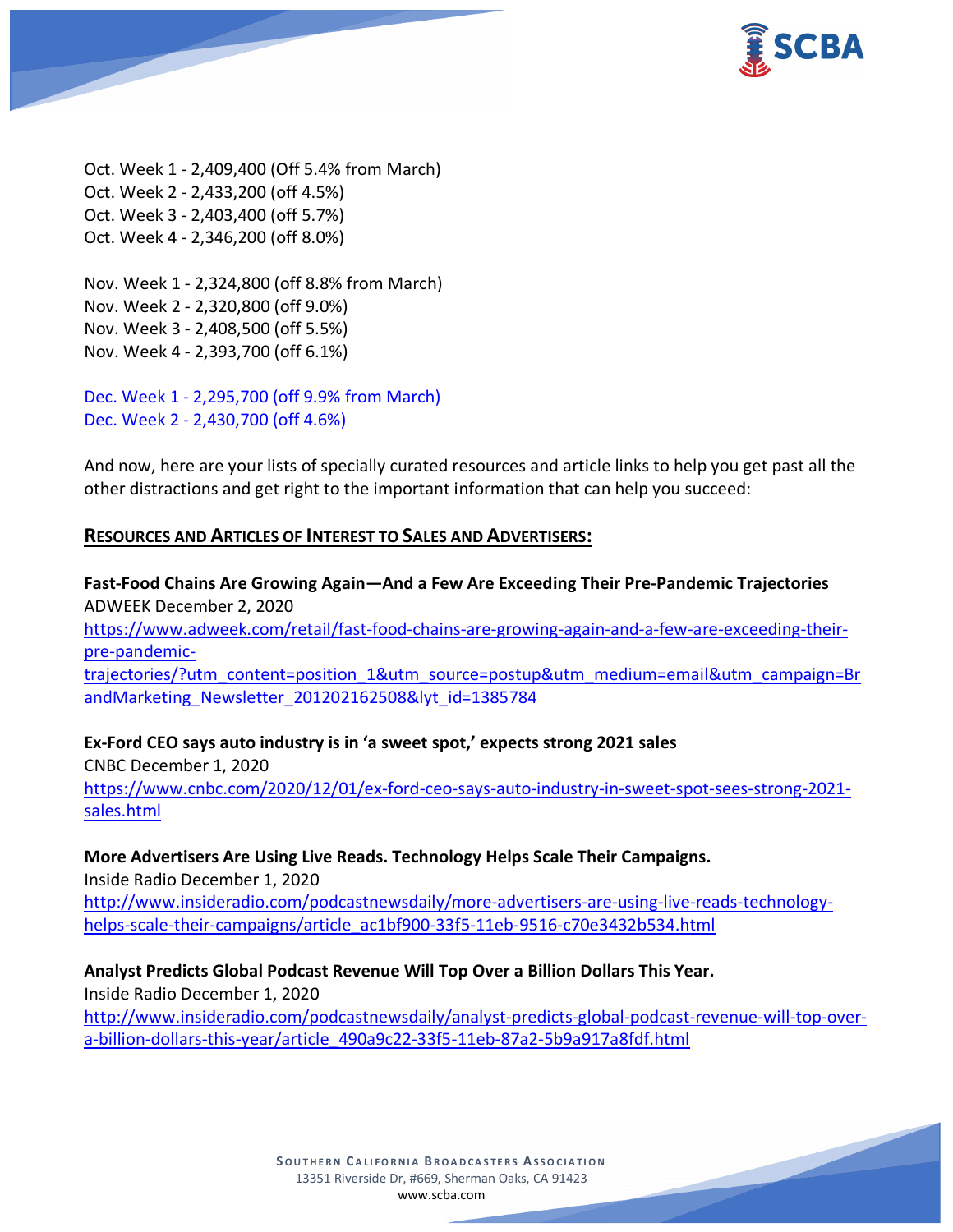

Oct. Week 1 - 2,409,400 (Off 5.4% from March) Oct. Week 2 - 2,433,200 (off 4.5%) Oct. Week 3 - 2,403,400 (off 5.7%) Oct. Week 4 - 2,346,200 (off 8.0%)

Nov. Week 1 - 2,324,800 (off 8.8% from March) Nov. Week 2 - 2,320,800 (off 9.0%) Nov. Week 3 - 2,408,500 (off 5.5%) Nov. Week 4 - 2,393,700 (off 6.1%)

Dec. Week 1 - 2,295,700 (off 9.9% from March) Dec. Week 2 - 2,430,700 (off 4.6%)

And now, here are your lists of specially curated resources and article links to help you get past all the other distractions and get right to the important information that can help you succeed:

# **RESOURCES AND ARTICLES OF INTEREST TO SALES AND ADVERTISERS:**

**Fast-Food Chains Are Growing Again—And a Few Are Exceeding Their Pre-Pandemic Trajectories** ADWEEK December 2, 2020 [https://www.adweek.com/retail/fast-food-chains-are-growing-again-and-a-few-are-exceeding-their](https://www.adweek.com/retail/fast-food-chains-are-growing-again-and-a-few-are-exceeding-their-pre-pandemic-trajectories/?utm_content=position_1&utm_source=postup&utm_medium=email&utm_campaign=BrandMarketing_Newsletter_201202162508&lyt_id=1385784)[pre-pandemic](https://www.adweek.com/retail/fast-food-chains-are-growing-again-and-a-few-are-exceeding-their-pre-pandemic-trajectories/?utm_content=position_1&utm_source=postup&utm_medium=email&utm_campaign=BrandMarketing_Newsletter_201202162508&lyt_id=1385784)[trajectories/?utm\\_content=position\\_1&utm\\_source=postup&utm\\_medium=email&utm\\_campaign=Br](https://www.adweek.com/retail/fast-food-chains-are-growing-again-and-a-few-are-exceeding-their-pre-pandemic-trajectories/?utm_content=position_1&utm_source=postup&utm_medium=email&utm_campaign=BrandMarketing_Newsletter_201202162508&lyt_id=1385784) andMarketing Newsletter 201202162508&lyt id=1385784

**Ex-Ford CEO says auto industry is in 'a sweet spot,' expects strong 2021 sales** CNBC December 1, 2020 [https://www.cnbc.com/2020/12/01/ex-ford-ceo-says-auto-industry-in-sweet-spot-sees-strong-2021](https://www.cnbc.com/2020/12/01/ex-ford-ceo-says-auto-industry-in-sweet-spot-sees-strong-2021-sales.html) [sales.html](https://www.cnbc.com/2020/12/01/ex-ford-ceo-says-auto-industry-in-sweet-spot-sees-strong-2021-sales.html)

**More Advertisers Are Using Live Reads. Technology Helps Scale Their Campaigns.** Inside Radio December 1, 2020 [http://www.insideradio.com/podcastnewsdaily/more-advertisers-are-using-live-reads-technology](http://www.insideradio.com/podcastnewsdaily/more-advertisers-are-using-live-reads-technology-helps-scale-their-campaigns/article_ac1bf900-33f5-11eb-9516-c70e3432b534.html)[helps-scale-their-campaigns/article\\_ac1bf900-33f5-11eb-9516-c70e3432b534.html](http://www.insideradio.com/podcastnewsdaily/more-advertisers-are-using-live-reads-technology-helps-scale-their-campaigns/article_ac1bf900-33f5-11eb-9516-c70e3432b534.html)

**Analyst Predicts Global Podcast Revenue Will Top Over a Billion Dollars This Year.** Inside Radio December 1, 2020 [http://www.insideradio.com/podcastnewsdaily/analyst-predicts-global-podcast-revenue-will-top-over](http://www.insideradio.com/podcastnewsdaily/analyst-predicts-global-podcast-revenue-will-top-over-a-billion-dollars-this-year/article_490a9c22-33f5-11eb-87a2-5b9a917a8fdf.html)[a-billion-dollars-this-year/article\\_490a9c22-33f5-11eb-87a2-5b9a917a8fdf.html](http://www.insideradio.com/podcastnewsdaily/analyst-predicts-global-podcast-revenue-will-top-over-a-billion-dollars-this-year/article_490a9c22-33f5-11eb-87a2-5b9a917a8fdf.html)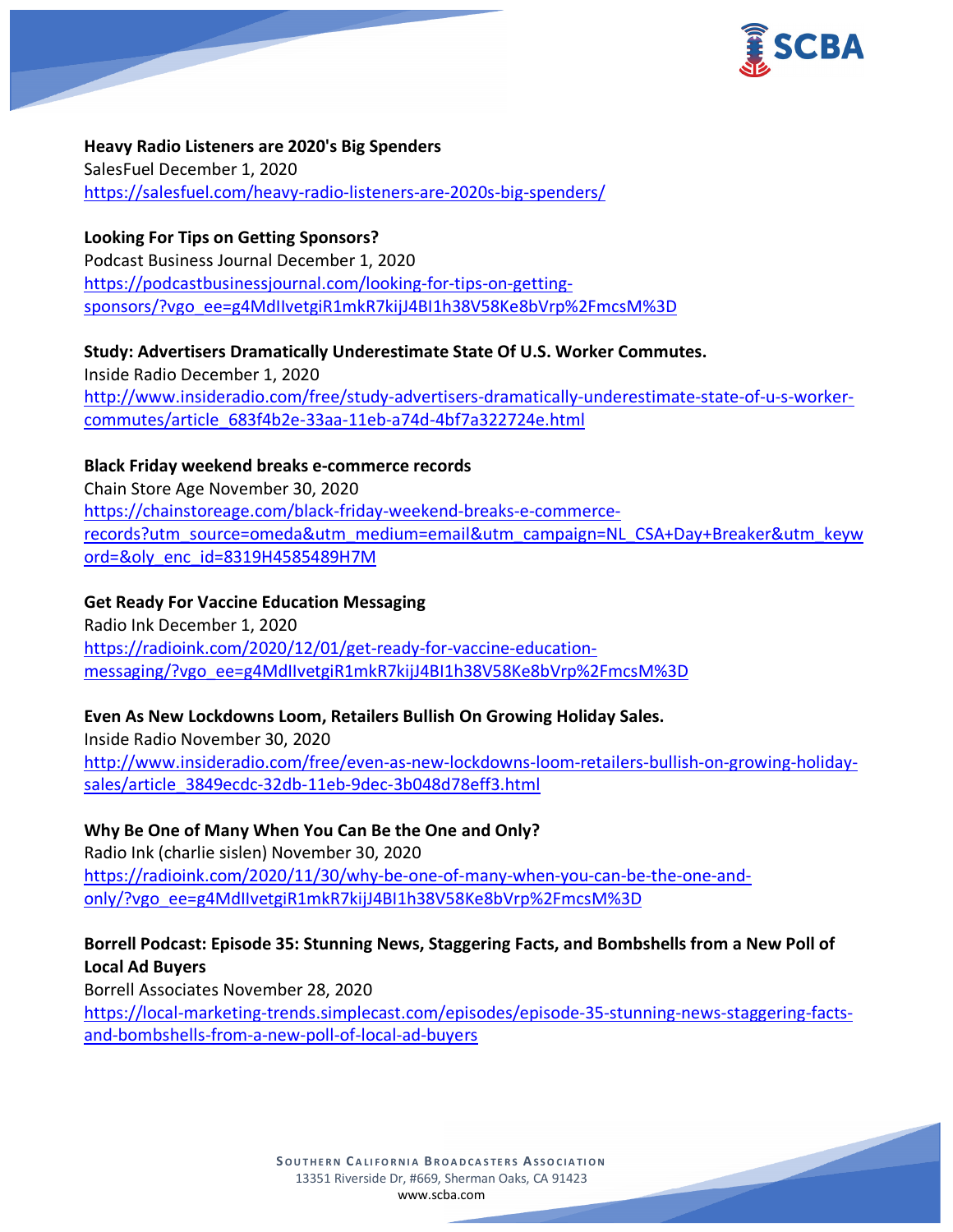

**Heavy Radio Listeners are 2020's Big Spenders** SalesFuel December 1, 2020 <https://salesfuel.com/heavy-radio-listeners-are-2020s-big-spenders/>

**Looking For Tips on Getting Sponsors?** Podcast Business Journal December 1, 2020 [https://podcastbusinessjournal.com/looking-for-tips-on-getting](https://podcastbusinessjournal.com/looking-for-tips-on-getting-sponsors/?vgo_ee=g4MdIIvetgiR1mkR7kijJ4BI1h38V58Ke8bVrp%2FmcsM%3D)[sponsors/?vgo\\_ee=g4MdIIvetgiR1mkR7kijJ4BI1h38V58Ke8bVrp%2FmcsM%3D](https://podcastbusinessjournal.com/looking-for-tips-on-getting-sponsors/?vgo_ee=g4MdIIvetgiR1mkR7kijJ4BI1h38V58Ke8bVrp%2FmcsM%3D)

**Study: Advertisers Dramatically Underestimate State Of U.S. Worker Commutes.** Inside Radio December 1, 2020 [http://www.insideradio.com/free/study-advertisers-dramatically-underestimate-state-of-u-s-worker](http://www.insideradio.com/free/study-advertisers-dramatically-underestimate-state-of-u-s-worker-commutes/article_683f4b2e-33aa-11eb-a74d-4bf7a322724e.html)[commutes/article\\_683f4b2e-33aa-11eb-a74d-4bf7a322724e.html](http://www.insideradio.com/free/study-advertisers-dramatically-underestimate-state-of-u-s-worker-commutes/article_683f4b2e-33aa-11eb-a74d-4bf7a322724e.html)

**Black Friday weekend breaks e-commerce records**

Chain Store Age November 30, 2020 [https://chainstoreage.com/black-friday-weekend-breaks-e-commerce](https://chainstoreage.com/black-friday-weekend-breaks-e-commerce-records?utm_source=omeda&utm_medium=email&utm_campaign=NL_CSA+Day+Breaker&utm_keyword=&oly_enc_id=8319H4585489H7M)[records?utm\\_source=omeda&utm\\_medium=email&utm\\_campaign=NL\\_CSA+Day+Breaker&utm\\_keyw](https://chainstoreage.com/black-friday-weekend-breaks-e-commerce-records?utm_source=omeda&utm_medium=email&utm_campaign=NL_CSA+Day+Breaker&utm_keyword=&oly_enc_id=8319H4585489H7M) [ord=&oly\\_enc\\_id=8319H4585489H7M](https://chainstoreage.com/black-friday-weekend-breaks-e-commerce-records?utm_source=omeda&utm_medium=email&utm_campaign=NL_CSA+Day+Breaker&utm_keyword=&oly_enc_id=8319H4585489H7M)

**Get Ready For Vaccine Education Messaging** Radio Ink December 1, 2020 [https://radioink.com/2020/12/01/get-ready-for-vaccine-education](https://radioink.com/2020/12/01/get-ready-for-vaccine-education-messaging/?vgo_ee=g4MdIIvetgiR1mkR7kijJ4BI1h38V58Ke8bVrp%2FmcsM%3D)[messaging/?vgo\\_ee=g4MdIIvetgiR1mkR7kijJ4BI1h38V58Ke8bVrp%2FmcsM%3D](https://radioink.com/2020/12/01/get-ready-for-vaccine-education-messaging/?vgo_ee=g4MdIIvetgiR1mkR7kijJ4BI1h38V58Ke8bVrp%2FmcsM%3D)

# **Even As New Lockdowns Loom, Retailers Bullish On Growing Holiday Sales.**

Inside Radio November 30, 2020 [http://www.insideradio.com/free/even-as-new-lockdowns-loom-retailers-bullish-on-growing-holiday](http://www.insideradio.com/free/even-as-new-lockdowns-loom-retailers-bullish-on-growing-holiday-sales/article_3849ecdc-32db-11eb-9dec-3b048d78eff3.html)[sales/article\\_3849ecdc-32db-11eb-9dec-3b048d78eff3.html](http://www.insideradio.com/free/even-as-new-lockdowns-loom-retailers-bullish-on-growing-holiday-sales/article_3849ecdc-32db-11eb-9dec-3b048d78eff3.html)

**Why Be One of Many When You Can Be the One and Only?** Radio Ink (charlie sislen) November 30, 2020 [https://radioink.com/2020/11/30/why-be-one-of-many-when-you-can-be-the-one-and](https://radioink.com/2020/11/30/why-be-one-of-many-when-you-can-be-the-one-and-only/?vgo_ee=g4MdIIvetgiR1mkR7kijJ4BI1h38V58Ke8bVrp%2FmcsM%3D)[only/?vgo\\_ee=g4MdIIvetgiR1mkR7kijJ4BI1h38V58Ke8bVrp%2FmcsM%3D](https://radioink.com/2020/11/30/why-be-one-of-many-when-you-can-be-the-one-and-only/?vgo_ee=g4MdIIvetgiR1mkR7kijJ4BI1h38V58Ke8bVrp%2FmcsM%3D)

**Borrell Podcast: Episode 35: Stunning News, Staggering Facts, and Bombshells from a New Poll of Local Ad Buyers**

Borrell Associates November 28, 2020 [https://local-marketing-trends.simplecast.com/episodes/episode-35-stunning-news-staggering-facts](https://local-marketing-trends.simplecast.com/episodes/episode-35-stunning-news-staggering-facts-and-bombshells-from-a-new-poll-of-local-ad-buyers)[and-bombshells-from-a-new-poll-of-local-ad-buyers](https://local-marketing-trends.simplecast.com/episodes/episode-35-stunning-news-staggering-facts-and-bombshells-from-a-new-poll-of-local-ad-buyers)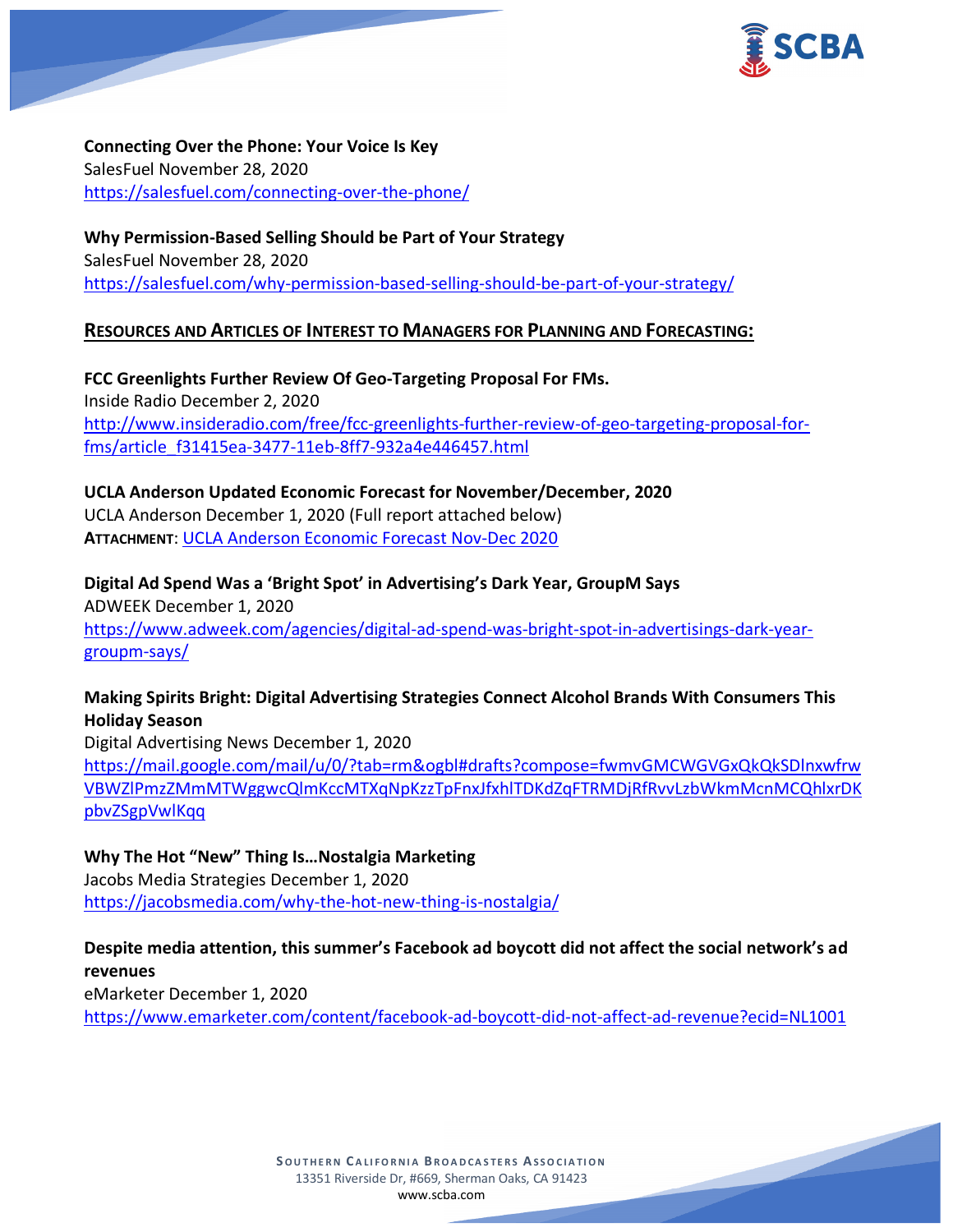

**Connecting Over the Phone: Your Voice Is Key** SalesFuel November 28, 2020 <https://salesfuel.com/connecting-over-the-phone/>

**Why Permission-Based Selling Should be Part of Your Strategy** SalesFuel November 28, 2020 <https://salesfuel.com/why-permission-based-selling-should-be-part-of-your-strategy/>

## **RESOURCES AND ARTICLES OF INTEREST TO MANAGERS FOR PLANNING AND FORECASTING:**

**FCC Greenlights Further Review Of Geo-Targeting Proposal For FMs.** Inside Radio December 2, 2020 [http://www.insideradio.com/free/fcc-greenlights-further-review-of-geo-targeting-proposal-for](http://www.insideradio.com/free/fcc-greenlights-further-review-of-geo-targeting-proposal-for-fms/article_f31415ea-3477-11eb-8ff7-932a4e446457.html)[fms/article\\_f31415ea-3477-11eb-8ff7-932a4e446457.html](http://www.insideradio.com/free/fcc-greenlights-further-review-of-geo-targeting-proposal-for-fms/article_f31415ea-3477-11eb-8ff7-932a4e446457.html)

**UCLA Anderson Updated Economic Forecast for November/December, 2020** UCLA Anderson December 1, 2020 (Full report attached below) **ATTACHMENT**: [UCLA Anderson Economic Forecast Nov-Dec 2020](https://scba.com/ucla-anderson-economic-forecast-nov_dec-2020/)

**Digital Ad Spend Was a 'Bright Spot' in Advertising's Dark Year, GroupM Says** ADWEEK December 1, 2020 [https://www.adweek.com/agencies/digital-ad-spend-was-bright-spot-in-advertisings-dark-year](https://www.adweek.com/agencies/digital-ad-spend-was-bright-spot-in-advertisings-dark-year-groupm-says/)[groupm-says/](https://www.adweek.com/agencies/digital-ad-spend-was-bright-spot-in-advertisings-dark-year-groupm-says/)

**Making Spirits Bright: Digital Advertising Strategies Connect Alcohol Brands With Consumers This Holiday Season**

Digital Advertising News December 1, 2020 [https://mail.google.com/mail/u/0/?tab=rm&ogbl#drafts?compose=fwmvGMCWGVGxQkQkSDlnxwfrw](https://mail.google.com/mail/u/0/?tab=rm&ogbl#drafts?compose=fwmvGMCWGVGxQkQkSDlnxwfrwVBWZlPmzZMmMTWggwcQlmKccMTXqNpKzzTpFnxJfxhlTDKdZqFTRMDjRfRvvLzbWkmMcnMCQhlxrDKpbvZSgpVwlKqq) [VBWZlPmzZMmMTWggwcQlmKccMTXqNpKzzTpFnxJfxhlTDKdZqFTRMDjRfRvvLzbWkmMcnMCQhlxrDK](https://mail.google.com/mail/u/0/?tab=rm&ogbl#drafts?compose=fwmvGMCWGVGxQkQkSDlnxwfrwVBWZlPmzZMmMTWggwcQlmKccMTXqNpKzzTpFnxJfxhlTDKdZqFTRMDjRfRvvLzbWkmMcnMCQhlxrDKpbvZSgpVwlKqq) [pbvZSgpVwlKqq](https://mail.google.com/mail/u/0/?tab=rm&ogbl#drafts?compose=fwmvGMCWGVGxQkQkSDlnxwfrwVBWZlPmzZMmMTWggwcQlmKccMTXqNpKzzTpFnxJfxhlTDKdZqFTRMDjRfRvvLzbWkmMcnMCQhlxrDKpbvZSgpVwlKqq)

**Why The Hot "New" Thing Is…Nostalgia Marketing** Jacobs Media Strategies December 1, 2020 <https://jacobsmedia.com/why-the-hot-new-thing-is-nostalgia/>

**Despite media attention, this summer's Facebook ad boycott did not affect the social network's ad revenues** eMarketer December 1, 2020 <https://www.emarketer.com/content/facebook-ad-boycott-did-not-affect-ad-revenue?ecid=NL1001>